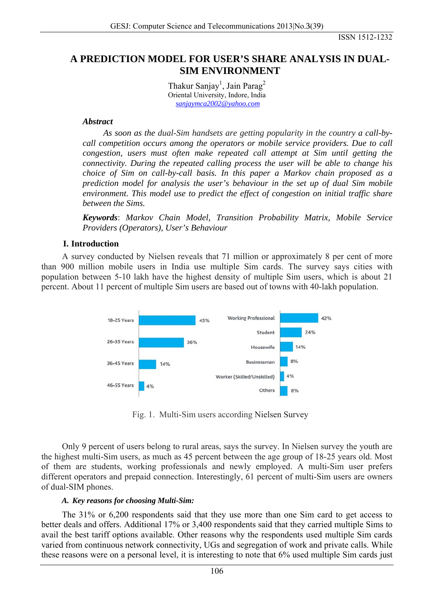ISSN 1512-1232

# **A PREDICTION MODEL FOR USER'S SHARE ANALYSIS IN DUAL-SIM ENVIRONMENT**

Thakur Sanjay<sup>1</sup>, Jain Parag<sup>2</sup> Oriental University, Indore, India *[sanjaymca2002@yahoo.com](mailto:sanjaymca2002@yahoo.com)*

### *Abstract*

*As soon as the dual-Sim handsets are getting popularity in the country a call-bycall competition occurs among the operators or mobile service providers. Due to call congestion, users must often make repeated call attempt at Sim until getting the connectivity. During the repeated calling process the user will be able to change his choice of Sim on call-by-call basis. In this paper a Markov chain proposed as a prediction model for analysis the user's behaviour in the set up of dual Sim mobile environment. This model use to predict the effect of congestion on initial traffic share between the Sims.* 

*Keywords*: *Markov Chain Model, Transition Probability Matrix, Mobile Service Providers (Operators), User's Behaviour*

## **I. Introduction**

A survey conducted by Nielsen reveals that 71 million or approximately 8 per cent of more than 900 million mobile users in India use multiple Sim cards. The survey says cities with population between 5-10 lakh have the highest density of multiple Sim users, which is about 21 percent. About 11 percent of multiple Sim users are based out of towns with 40-lakh population.



Fig. 1. Multi-Sim users according Nielsen Survey

Only 9 percent of users belong to rural areas, says the survey. In Nielsen survey the youth are the highest multi-Sim users, as much as 45 percent between the age group of 18-25 years old. Most of them are students, working professionals and newly employed. A multi-Sim user prefers different operators and prepaid connection. Interestingly, 61 percent of multi-Sim users are owners of dual-SIM phones.

#### *A. Key reasons for choosing Multi-Sim:*

The 31% or 6,200 respondents said that they use more than one Sim card to get access to better deals and offers. Additional 17% or 3,400 respondents said that they carried multiple Sims to avail the best tariff options available. Other reasons why the respondents used multiple Sim cards varied from continuous network connectivity, UGs and segregation of work and private calls. While these reasons were on a personal level, it is interesting to note that 6% used multiple Sim cards just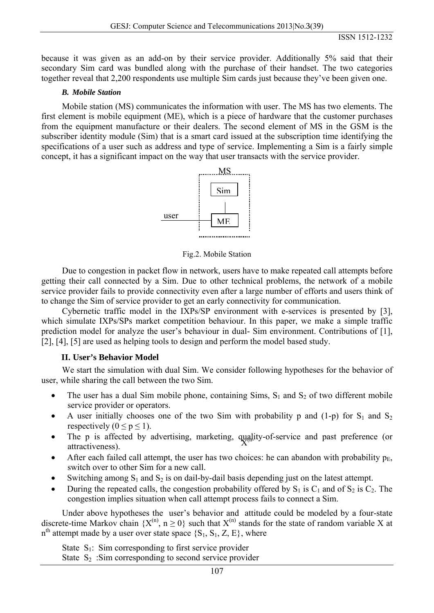because it was given as an add-on by their service provider. Additionally 5% said that their secondary Sim card was bundled along with the purchase of their handset. The two categories together reveal that 2,200 respondents use multiple Sim cards just because they've been given one.

### *B. Mobile Station*

Mobile station (MS) communicates the information with user. The MS has two elements. The first element is mobile equipment (ME), which is a piece of hardware that the customer purchases from the equipment manufacture or their dealers. The second element of MS in the GSM is the subscriber identity module (Sim) that is a smart card issued at the subscription time identifying the specifications of a user such as address and type of service. Implementing a Sim is a fairly simple concept, it has a significant impact on the way that user transacts with the service provider.



Fig.2. Mobile Station

Due to congestion in packet flow in network, users have to make repeated call attempts before getting their call connected by a Sim. Due to other technical problems, the network of a mobile service provider fails to provide connectivity even after a large number of efforts and users think of to change the Sim of service provider to get an early connectivity for communication.

Cybernetic traffic model in the IXPs/SP environment with e-services is presented by [3], which simulate IXPs/SPs market competition behaviour. In this paper, we make a simple traffic prediction model for analyze the user's behaviour in dual- Sim environment. Contributions of [1], [2], [4], [5] are used as helping tools to design and perform the model based study.

# **II. User's Behavior Model**

We start the simulation with dual Sim. We consider following hypotheses for the behavior of user, while sharing the call between the two Sim.

- The user has a dual Sim mobile phone, containing Sims,  $S_1$  and  $S_2$  of two different mobile service provider or operators.
- A user initially chooses one of the two Sim with probability p and  $(1-p)$  for  $S_1$  and  $S_2$ respectively ( $0 \le p \le 1$ ).
- The p is affected by advertising, marketing,  $\frac{quality-of-service}{X^{(l)}}$  and past preference (or attractiveness) attractiveness).
- After each failed call attempt, the user has two choices: he can abandon with probability  $p_E$ , switch over to other Sim for a new call.
- Switching among  $S_1$  and  $S_2$  is on dail-by-dail basis depending just on the latest attempt.
- During the repeated calls, the congestion probability offered by  $S_1$  is  $C_1$  and of  $S_2$  is  $C_2$ . The congestion implies situation when call attempt process fails to connect a Sim.

Under above hypotheses the user's behavior and attitude could be modeled by a four-state discrete-time Markov chain  $\{X^{(n)}, n \ge 0\}$  such that  $X^{(n)}$  stands for the state of random variable X at  $n<sup>th</sup>$  attempt made by a user over state space  $\{S_1, S_1, Z, E\}$ , where

State  $S_1$ : Sim corresponding to first service provider

State  $S_2$ : Sim corresponding to second service provider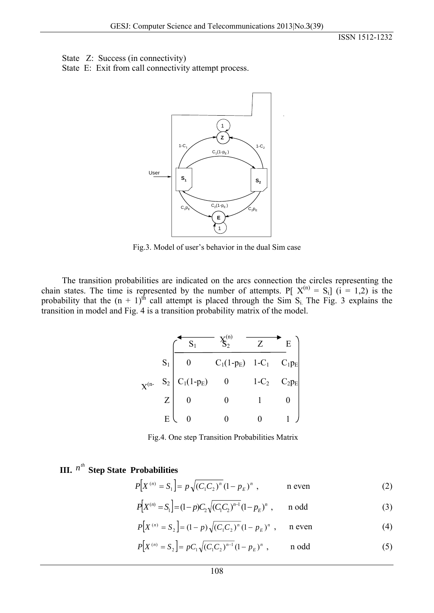State Z: Success (in connectivity)

State E: Exit from call connectivity attempt process.



Fig.3. Model of user's behavior in the dual Sim case

The transition probabilities are indicated on the arcs connection the circles representing the chain states. The time is represented by the number of attempts. P[ $X^{(n)} = S_i$ ] ( $i = 1,2$ ) is the probability that the  $(n + 1)$ <sup>th</sup> call attempt is placed through the Sim S<sub>i.</sub> The Fig. 3 explains the transition in model and Fig. 4 is a transition probability matrix of the model.

|            |       |              |                                        | Z       | $E_{\parallel}$ |
|------------|-------|--------------|----------------------------------------|---------|-----------------|
|            | $S_1$ |              | $C_1(1-p_E)$ 1-C <sub>1</sub> $C_1p_E$ |         |                 |
| $X^{(n-)}$ | $S_2$ | $C_1(1-p_E)$ |                                        | $1-C_2$ | $C_2p_E$        |
|            |       |              |                                        |         |                 |
|            | E     |              |                                        |         |                 |

Fig.4. One step Transition Probabilities Matrix

# **III.**  $n^{th}$  **Step State Probabilities**

$$
P[X^{(n)} = S_1] = p\sqrt{(C_1 C_2)^n} (1 - p_E)^n, \qquad \text{n even} \tag{2}
$$

$$
P[X^{(n)} = S_1] = (1 - p)C_2 \sqrt{(C_1 C_2)^{n-1}} (1 - p_E)^n , \quad \text{and} \quad (3)
$$

$$
P[X^{(n)} = S_2] = (1 - p)\sqrt{(C_1 C_2)^n} (1 - p_E)^n , \quad \text{n even}
$$
 (4)

$$
P[X^{(n)} = S_2] = pC_1 \sqrt{(C_1 C_2)^{n-1}} (1 - p_E)^n , \quad \text{nodd}
$$
 (5)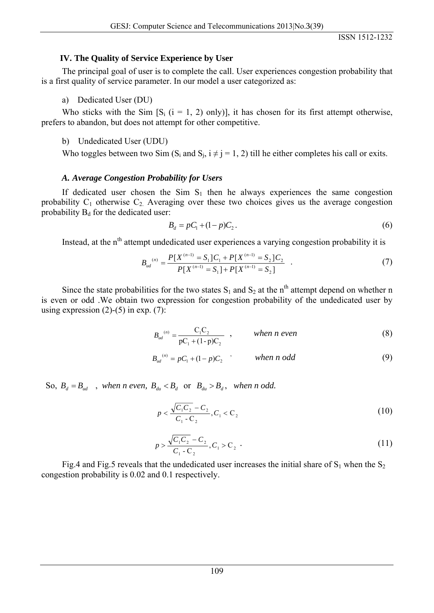## **IV. The Quality of Service Experience by User**

The principal goal of user is to complete the call. User experiences congestion probability that is a first quality of service parameter. In our model a user categorized as:

a)Dedicated User (DU)

Who sticks with the Sim  $[S_i$  ( $i = 1, 2$ ) only)], it has chosen for its first attempt otherwise, prefers to abandon, but does not attempt for other competitive.

b)Undedicated User (UDU)

Who toggles between two Sim  $(S_i$  and  $S_i$ ,  $i \neq j = 1, 2$ ) till he either completes his call or exits.

## *A. Average Congestion Probability for Users*

If dedicated user chosen the Sim  $S_1$  then he always experiences the same congestion probability  $C_1$  otherwise  $C_2$ . Averaging over these two choices gives us the average congestion probability  $B_d$  for the dedicated user:

$$
B_d = pC_1 + (1-p)C_2.
$$
 (6)

Instead, at the n<sup>th</sup> attempt undedicated user experiences a varying congestion probability it is

$$
B_{ud}^{(n)} = \frac{P[X^{(n-1)} = S_1]C_1 + P[X^{(n-1)} = S_2]C_2}{P[X^{(n-1)} = S_1] + P[X^{(n-1)} = S_2]} \quad . \tag{7}
$$

Since the state probabilities for the two states  $S_1$  and  $S_2$  at the n<sup>th</sup> attempt depend on whether n is even or odd .We obtain two expression for congestion probability of the undedicated user by using expression  $(2)-(5)$  in exp.  $(7)$ :

$$
B_{ud}^{(n)} = \frac{C_1 C_2}{pC_1 + (1-p)C_2} \quad , \qquad \text{when } n \text{ even} \tag{8}
$$

$$
B_{ud}^{(n)} = pC_1 + (1-p)C_2 \qquad \text{when } n \text{ odd} \tag{9}
$$

So,  $B_d = B_{ud}$ , when n even,  $B_{du} < B_d$  or  $B_{du} > B_d$ , when n odd.

$$
p < \frac{\sqrt{C_1 C_2} - C_2}{C_1 - C_2}, C_1 < C_2
$$
\n(10)

$$
p > \frac{\sqrt{C_1 C_2} - C_2}{C_1 - C_2}, C_1 > C_2
$$
 (11)

Fig.4 and Fig.5 reveals that the undedicated user increases the initial share of  $S_1$  when the  $S_2$ congestion probability is 0.02 and 0.1 respectively.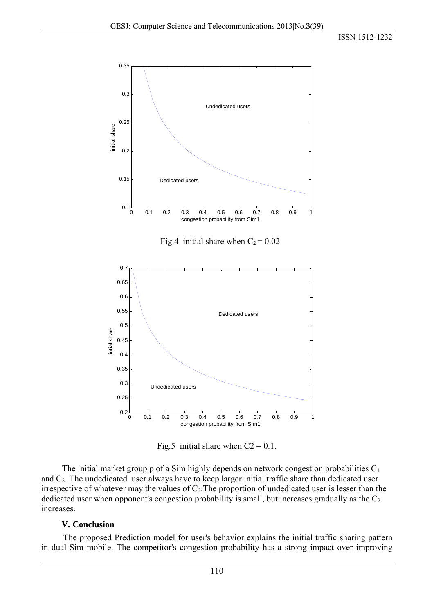

Fig.5 initial share when  $C2 = 0.1$ .

The initial market group p of a Sim highly depends on network congestion probabilities  $C_1$ and  $C_2$ . The undedicated user always have to keep larger initial traffic share than dedicated user irrespective of whatever may the values of  $C_2$ . The proportion of undedicated user is lesser than the dedicated user when opponent's congestion probability is small, but increases gradually as the  $C_2$ increases.

# **V. Conclusion**

 The proposed Prediction model for user's behavior explains the initial traffic sharing pattern in dual-Sim mobile. The competitor's congestion probability has a strong impact over improving